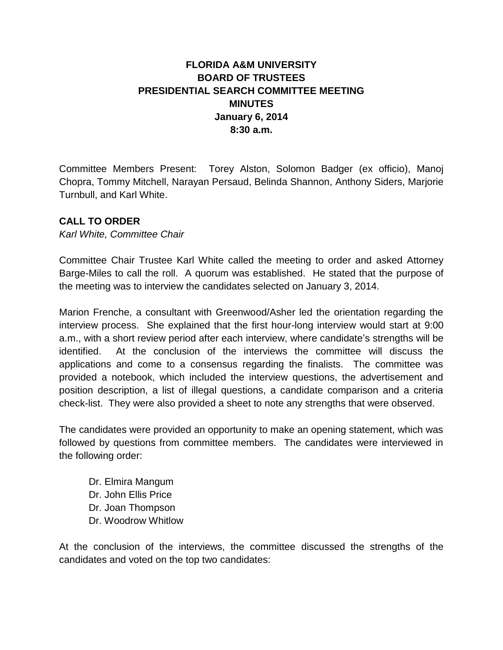## **FLORIDA A&M UNIVERSITY BOARD OF TRUSTEES PRESIDENTIAL SEARCH COMMITTEE MEETING MINUTES January 6, 2014 8:30 a.m.**

Committee Members Present: Torey Alston, Solomon Badger (ex officio), Manoj Chopra, Tommy Mitchell, Narayan Persaud, Belinda Shannon, Anthony Siders, Marjorie Turnbull, and Karl White.

## **CALL TO ORDER**

*Karl White, Committee Chair*

Committee Chair Trustee Karl White called the meeting to order and asked Attorney Barge-Miles to call the roll. A quorum was established. He stated that the purpose of the meeting was to interview the candidates selected on January 3, 2014.

Marion Frenche, a consultant with Greenwood/Asher led the orientation regarding the interview process. She explained that the first hour-long interview would start at 9:00 a.m., with a short review period after each interview, where candidate's strengths will be identified. At the conclusion of the interviews the committee will discuss the applications and come to a consensus regarding the finalists. The committee was provided a notebook, which included the interview questions, the advertisement and position description, a list of illegal questions, a candidate comparison and a criteria check-list. They were also provided a sheet to note any strengths that were observed.

The candidates were provided an opportunity to make an opening statement, which was followed by questions from committee members. The candidates were interviewed in the following order:

Dr. Elmira Mangum Dr. John Ellis Price Dr. Joan Thompson Dr. Woodrow Whitlow

At the conclusion of the interviews, the committee discussed the strengths of the candidates and voted on the top two candidates: